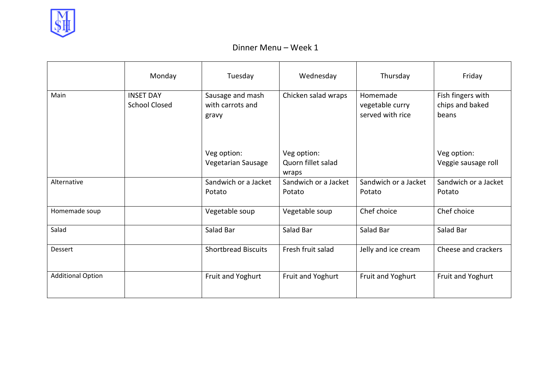

|                          | Monday                                   | Tuesday                                       | Wednesday                                  | Thursday                                        | Friday                                        |
|--------------------------|------------------------------------------|-----------------------------------------------|--------------------------------------------|-------------------------------------------------|-----------------------------------------------|
| Main                     | <b>INSET DAY</b><br><b>School Closed</b> | Sausage and mash<br>with carrots and<br>gravy | Chicken salad wraps                        | Homemade<br>vegetable curry<br>served with rice | Fish fingers with<br>chips and baked<br>beans |
|                          |                                          | Veg option:<br>Vegetarian Sausage             | Veg option:<br>Quorn fillet salad<br>wraps |                                                 | Veg option:<br>Veggie sausage roll            |
| Alternative              |                                          | Sandwich or a Jacket<br>Potato                | Sandwich or a Jacket<br>Potato             | Sandwich or a Jacket<br>Potato                  | Sandwich or a Jacket<br>Potato                |
| Homemade soup            |                                          | Vegetable soup                                | Vegetable soup                             | Chef choice                                     | Chef choice                                   |
| Salad                    |                                          | Salad Bar                                     | Salad Bar                                  | Salad Bar                                       | Salad Bar                                     |
| <b>Dessert</b>           |                                          | <b>Shortbread Biscuits</b>                    | Fresh fruit salad                          | Jelly and ice cream                             | Cheese and crackers                           |
| <b>Additional Option</b> |                                          | Fruit and Yoghurt                             | Fruit and Yoghurt                          | Fruit and Yoghurt                               | Fruit and Yoghurt                             |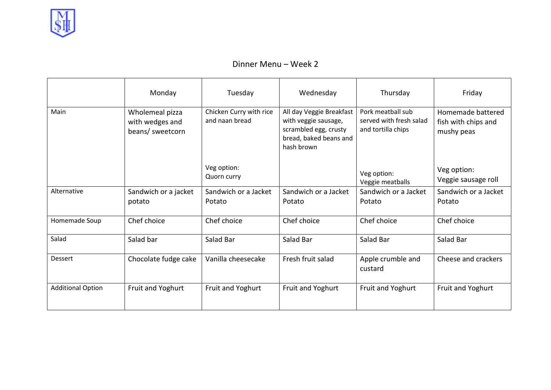

|                          | Monday                                                 | Tuesday                                   | Wednesday                                                                                                         | Thursday                                                           | Friday                                                 |
|--------------------------|--------------------------------------------------------|-------------------------------------------|-------------------------------------------------------------------------------------------------------------------|--------------------------------------------------------------------|--------------------------------------------------------|
| Main                     | Wholemeal pizza<br>with wedges and<br>beans/ sweetcorn | Chicken Curry with rice<br>and naan bread | All day Veggie Breakfast<br>with veggie sausage,<br>scrambled egg, crusty<br>bread, baked beans and<br>hash brown | Pork meatball sub<br>served with fresh salad<br>and tortilla chips | Homemade battered<br>fish with chips and<br>mushy peas |
|                          |                                                        | Veg option:<br>Quorn curry                |                                                                                                                   | Veg option:<br>Veggie meatballs                                    | Veg option:<br>Veggie sausage roll                     |
| Alternative              | Sandwich or a jacket<br>potato                         | Sandwich or a Jacket<br>Potato            | Sandwich or a Jacket<br>Potato                                                                                    | Sandwich or a Jacket<br>Potato                                     | Sandwich or a Jacket<br>Potato                         |
| Homemade Soup            | Chef choice                                            | Chef choice                               | Chef choice                                                                                                       | Chef choice                                                        | Chef choice                                            |
| Salad                    | Salad bar                                              | Salad Bar                                 | Salad Bar                                                                                                         | Salad Bar                                                          | Salad Bar                                              |
| Dessert                  | Chocolate fudge cake                                   | Vanilla cheesecake                        | Fresh fruit salad                                                                                                 | Apple crumble and<br>custard                                       | Cheese and crackers                                    |
| <b>Additional Option</b> | Fruit and Yoghurt                                      | Fruit and Yoghurt                         | Fruit and Yoghurt                                                                                                 | Fruit and Yoghurt                                                  | Fruit and Yoghurt                                      |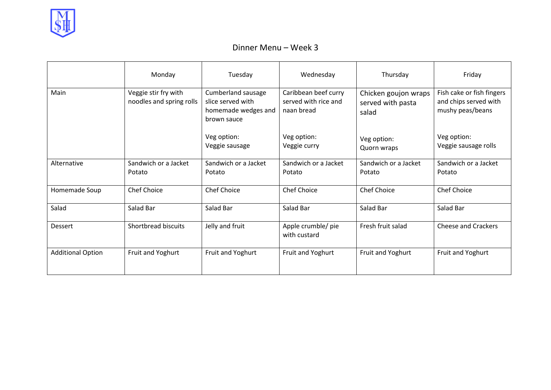

|                          | Monday                                           | Tuesday                                                                       | Wednesday                                                  | Thursday                                           | Friday                                                                 |
|--------------------------|--------------------------------------------------|-------------------------------------------------------------------------------|------------------------------------------------------------|----------------------------------------------------|------------------------------------------------------------------------|
| Main                     | Veggie stir fry with<br>noodles and spring rolls | Cumberland sausage<br>slice served with<br>homemade wedges and<br>brown sauce | Caribbean beef curry<br>served with rice and<br>naan bread | Chicken goujon wraps<br>served with pasta<br>salad | Fish cake or fish fingers<br>and chips served with<br>mushy peas/beans |
|                          |                                                  | Veg option:<br>Veggie sausage                                                 | Veg option:<br>Veggie curry                                | Veg option:<br>Quorn wraps                         | Veg option:<br>Veggie sausage rolls                                    |
| Alternative              | Sandwich or a Jacket<br>Potato                   | Sandwich or a Jacket<br>Potato                                                | Sandwich or a Jacket<br>Potato                             | Sandwich or a Jacket<br>Potato                     | Sandwich or a Jacket<br>Potato                                         |
| Homemade Soup            | <b>Chef Choice</b>                               | Chef Choice                                                                   | Chef Choice                                                | <b>Chef Choice</b>                                 | <b>Chef Choice</b>                                                     |
| Salad                    | Salad Bar                                        | Salad Bar                                                                     | Salad Bar                                                  | Salad Bar                                          | Salad Bar                                                              |
| Dessert                  | Shortbread biscuits                              | Jelly and fruit                                                               | Apple crumble/ pie<br>with custard                         | Fresh fruit salad                                  | <b>Cheese and Crackers</b>                                             |
| <b>Additional Option</b> | Fruit and Yoghurt                                | Fruit and Yoghurt                                                             | Fruit and Yoghurt                                          | Fruit and Yoghurt                                  | Fruit and Yoghurt                                                      |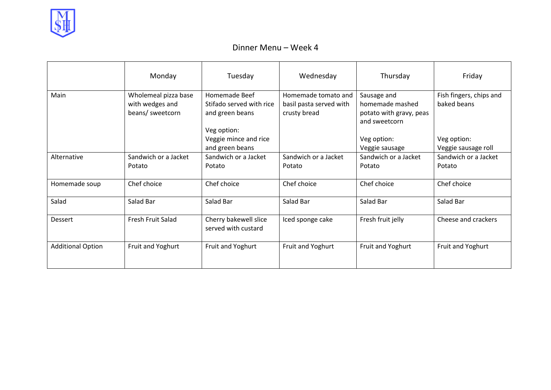

|                          | Monday                                                      | Tuesday                                                                     | Wednesday                                                      | Thursday                                                                   | Friday                                 |
|--------------------------|-------------------------------------------------------------|-----------------------------------------------------------------------------|----------------------------------------------------------------|----------------------------------------------------------------------------|----------------------------------------|
| Main                     | Wholemeal pizza base<br>with wedges and<br>beans/ sweetcorn | Homemade Beef<br>Stifado served with rice<br>and green beans<br>Veg option: | Homemade tomato and<br>basil pasta served with<br>crusty bread | Sausage and<br>homemade mashed<br>potato with gravy, peas<br>and sweetcorn | Fish fingers, chips and<br>baked beans |
|                          |                                                             | Veggie mince and rice<br>and green beans                                    |                                                                | Veg option:<br>Veggie sausage                                              | Veg option:<br>Veggie sausage roll     |
| Alternative              | Sandwich or a Jacket<br>Potato                              | Sandwich or a Jacket<br>Potato                                              | Sandwich or a Jacket<br>Potato                                 | Sandwich or a Jacket<br>Potato                                             | Sandwich or a Jacket<br>Potato         |
| Homemade soup            | Chef choice                                                 | Chef choice                                                                 | Chef choice                                                    | Chef choice                                                                | Chef choice                            |
| Salad                    | Salad Bar                                                   | Salad Bar                                                                   | Salad Bar                                                      | Salad Bar                                                                  | Salad Bar                              |
| Dessert                  | Fresh Fruit Salad                                           | Cherry bakewell slice<br>served with custard                                | Iced sponge cake                                               | Fresh fruit jelly                                                          | Cheese and crackers                    |
| <b>Additional Option</b> | Fruit and Yoghurt                                           | Fruit and Yoghurt                                                           | Fruit and Yoghurt                                              | Fruit and Yoghurt                                                          | Fruit and Yoghurt                      |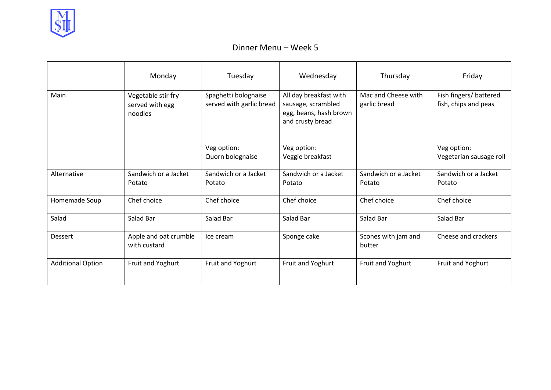

|                          | Monday                                           | Tuesday                                          | Wednesday                                                                                  | Thursday                            | Friday                                         |
|--------------------------|--------------------------------------------------|--------------------------------------------------|--------------------------------------------------------------------------------------------|-------------------------------------|------------------------------------------------|
| Main                     | Vegetable stir fry<br>served with egg<br>noodles | Spaghetti bolognaise<br>served with garlic bread | All day breakfast with<br>sausage, scrambled<br>egg, beans, hash brown<br>and crusty bread | Mac and Cheese with<br>garlic bread | Fish fingers/ battered<br>fish, chips and peas |
|                          |                                                  | Veg option:<br>Quorn bolognaise                  | Veg option:<br>Veggie breakfast                                                            |                                     | Veg option:<br>Vegetarian sausage roll         |
| Alternative              | Sandwich or a Jacket<br>Potato                   | Sandwich or a Jacket<br>Potato                   | Sandwich or a Jacket<br>Potato                                                             | Sandwich or a Jacket<br>Potato      | Sandwich or a Jacket<br>Potato                 |
| Homemade Soup            | Chef choice                                      | Chef choice                                      | Chef choice                                                                                | Chef choice                         | Chef choice                                    |
| Salad                    | Salad Bar                                        | Salad Bar                                        | Salad Bar                                                                                  | Salad Bar                           | Salad Bar                                      |
| Dessert                  | Apple and oat crumble<br>with custard            | Ice cream                                        | Sponge cake                                                                                | Scones with jam and<br>butter       | Cheese and crackers                            |
| <b>Additional Option</b> | Fruit and Yoghurt                                | Fruit and Yoghurt                                | Fruit and Yoghurt                                                                          | Fruit and Yoghurt                   | Fruit and Yoghurt                              |